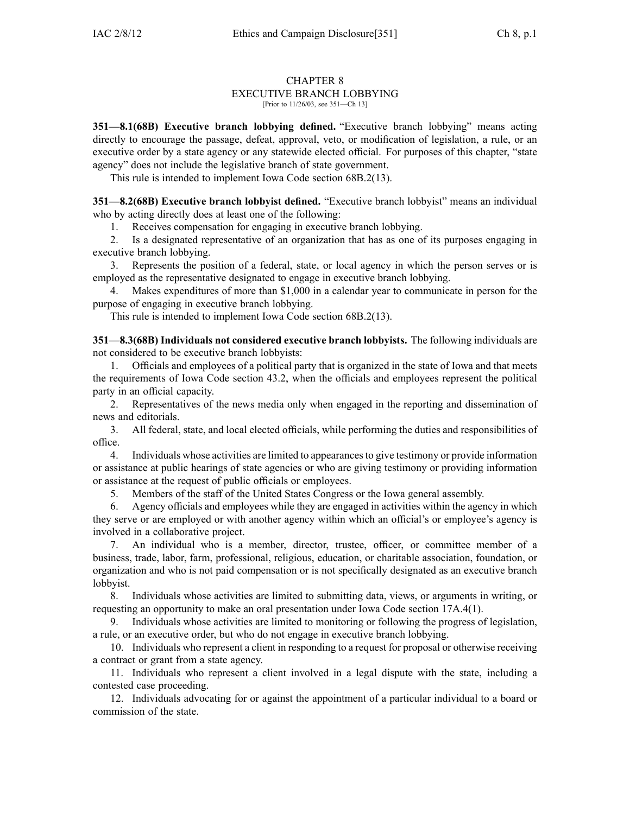### CHAPTER 8 EXECUTIVE BRANCH LOBBYING [Prior to 11/26/03, see 351—Ch 13]

**351—8.1(68B) Executive branch lobbying defined.** "Executive branch lobbying" means acting directly to encourage the passage, defeat, approval, veto, or modification of legislation, <sup>a</sup> rule, or an executive order by <sup>a</sup> state agency or any statewide elected official. For purposes of this chapter, "state agency" does not include the legislative branch of state government.

This rule is intended to implement Iowa Code section 68B.2(13).

**351—8.2(68B) Executive branch lobbyist defined.** "Executive branch lobbyist" means an individual who by acting directly does at least one of the following:

1. Receives compensation for engaging in executive branch lobbying.

2. Is <sup>a</sup> designated representative of an organization that has as one of its purposes engaging in executive branch lobbying.

3. Represents the position of <sup>a</sup> federal, state, or local agency in which the person serves or is employed as the representative designated to engage in executive branch lobbying.

4. Makes expenditures of more than \$1,000 in <sup>a</sup> calendar year to communicate in person for the purpose of engaging in executive branch lobbying.

This rule is intended to implement Iowa Code section 68B.2(13).

**351—8.3(68B) Individuals not considered executive branch lobbyists.** The following individuals are not considered to be executive branch lobbyists:

1. Officials and employees of <sup>a</sup> political party that is organized in the state of Iowa and that meets the requirements of Iowa Code section 43.2, when the officials and employees represen<sup>t</sup> the political party in an official capacity.

2. Representatives of the news media only when engaged in the reporting and dissemination of news and editorials.

3. All federal, state, and local elected officials, while performing the duties and responsibilities of office.

4. Individuals whose activities are limited to appearancesto give testimony or provide information or assistance at public hearings of state agencies or who are giving testimony or providing information or assistance at the reques<sup>t</sup> of public officials or employees.

5. Members of the staff of the United States Congress or the Iowa general assembly.

6. Agency officials and employees while they are engaged in activities within the agency in which they serve or are employed or with another agency within which an official's or employee's agency is involved in <sup>a</sup> collaborative project.

7. An individual who is <sup>a</sup> member, director, trustee, officer, or committee member of <sup>a</sup> business, trade, labor, farm, professional, religious, education, or charitable association, foundation, or organization and who is not paid compensation or is not specifically designated as an executive branch lobbyist.

8. Individuals whose activities are limited to submitting data, views, or arguments in writing, or requesting an opportunity to make an oral presentation under Iowa Code section 17A.4(1).

9. Individuals whose activities are limited to monitoring or following the progress of legislation, <sup>a</sup> rule, or an executive order, but who do not engage in executive branch lobbying.

10. Individuals who represen<sup>t</sup> <sup>a</sup> client in responding to <sup>a</sup> reques<sup>t</sup> for proposal or otherwise receiving <sup>a</sup> contract or gran<sup>t</sup> from <sup>a</sup> state agency.

11. Individuals who represen<sup>t</sup> <sup>a</sup> client involved in <sup>a</sup> legal dispute with the state, including <sup>a</sup> contested case proceeding.

12. Individuals advocating for or against the appointment of <sup>a</sup> particular individual to <sup>a</sup> board or commission of the state.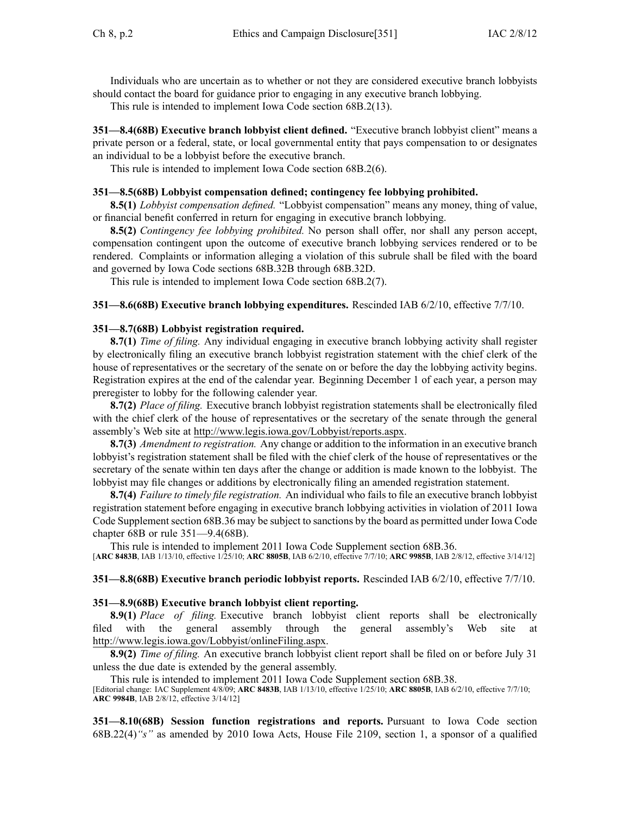Individuals who are uncertain as to whether or not they are considered executive branch lobbyists should contact the board for guidance prior to engaging in any executive branch lobbying.

This rule is intended to implement Iowa Code section 68B.2(13).

**351—8.4(68B) Executive branch lobbyist client defined.** "Executive branch lobbyist client" means <sup>a</sup> private person or <sup>a</sup> federal, state, or local governmental entity that pays compensation to or designates an individual to be <sup>a</sup> lobbyist before the executive branch.

This rule is intended to implement Iowa Code section 68B.2(6).

# **351—8.5(68B) Lobbyist compensation defined; contingency fee lobbying prohibited.**

**8.5(1)** *Lobbyist compensation defined.* "Lobbyist compensation" means any money, thing of value, or financial benefit conferred in return for engaging in executive branch lobbying.

**8.5(2)** *Contingency fee lobbying prohibited.* No person shall offer, nor shall any person accept, compensation contingent upon the outcome of executive branch lobbying services rendered or to be rendered. Complaints or information alleging <sup>a</sup> violation of this subrule shall be filed with the board and governed by Iowa Code sections 68B.32B through 68B.32D.

This rule is intended to implement Iowa Code section 68B.2(7).

## **351—8.6(68B) Executive branch lobbying expenditures.** Rescinded IAB 6/2/10, effective 7/7/10.

## **351—8.7(68B) Lobbyist registration required.**

**8.7(1)** *Time of filing.* Any individual engaging in executive branch lobbying activity shall register by electronically filing an executive branch lobbyist registration statement with the chief clerk of the house of representatives or the secretary of the senate on or before the day the lobbying activity begins. Registration expires at the end of the calendar year. Beginning December 1 of each year, <sup>a</sup> person may preregister to lobby for the following calender year.

**8.7(2)** *Place of filing.* Executive branch lobbyist registration statements shall be electronically filed with the chief clerk of the house of representatives or the secretary of the senate through the general assembly's Web site at http://www.legis.iowa.gov/Lobbyist/reports.aspx.

**8.7(3)** *Amendment to registration.* Any change or addition to the information in an executive branch lobbyist's registration statement shall be filed with the chief clerk of the house of representatives or the secretary of the senate within ten days after the change or addition is made known to the lobbyist. The lobbyist may file changes or additions by electronically filing an amended registration statement.

**8.7(4)** *Failure to timely file registration.* An individual who fails to file an executive branch lobbyist registration statement before engaging in executive branch lobbying activities in violation of 2011 Iowa Code Supplement section 68B.36 may be subject to sanctions by the board as permitted under Iowa Code chapter 68B or rule 351—9.4(68B).

This rule is intended to implement 2011 Iowa Code Supplement section 68B.36.

[**ARC 8483B**, IAB 1/13/10, effective 1/25/10; **ARC 8805B**, IAB 6/2/10, effective 7/7/10; **ARC 9985B**, IAB 2/8/12, effective 3/14/12]

## **351—8.8(68B) Executive branch periodic lobbyist reports.** Rescinded IAB 6/2/10, effective 7/7/10.

## **351—8.9(68B) Executive branch lobbyist client reporting.**

**8.9(1)** *Place of filing.* Executive branch lobbyist client reports shall be electronically filed with the general assembly through the general assembly's Web site at http://www.legis.iowa.gov/Lobbyist/onlineFiling.aspx.

**8.9(2)** *Time of filing.* An executive branch lobbyist client repor<sup>t</sup> shall be filed on or before July 31 unless the due date is extended by the general assembly.

This rule is intended to implement 2011 Iowa Code Supplement section 68B.38.

[Editorial change: IAC Supplement 4/8/09; **ARC 8483B**, IAB 1/13/10, effective 1/25/10; **ARC 8805B**, IAB 6/2/10, effective 7/7/10; **ARC 9984B**, IAB 2/8/12, effective 3/14/12]

**351—8.10(68B) Session function registrations and reports.** Pursuant to Iowa Code section 68B.22(4)*"s"* as amended by 2010 Iowa Acts, House File 2109, section 1, <sup>a</sup> sponsor of <sup>a</sup> qualified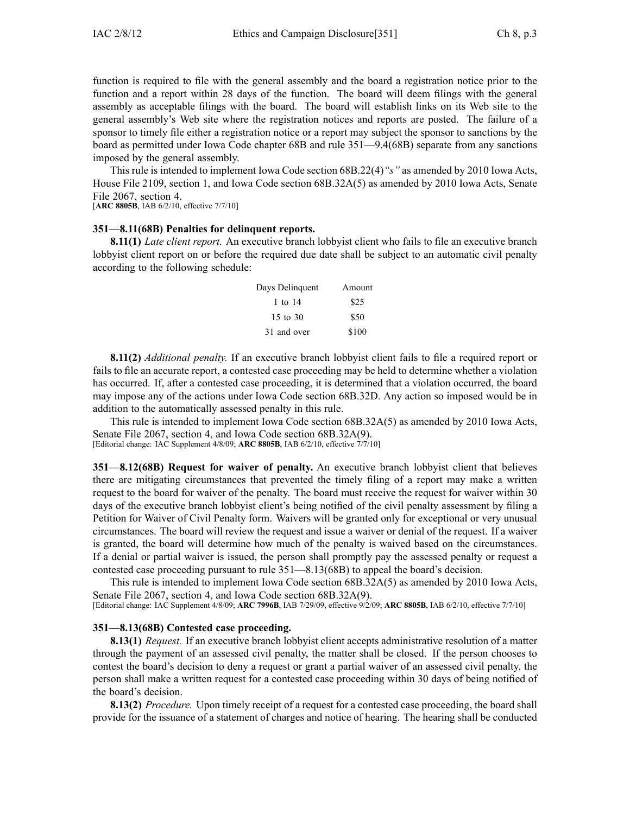function is required to file with the general assembly and the board <sup>a</sup> registration notice prior to the function and <sup>a</sup> repor<sup>t</sup> within 28 days of the function. The board will deem filings with the general assembly as acceptable filings with the board. The board will establish links on its Web site to the general assembly's Web site where the registration notices and reports are posted. The failure of <sup>a</sup> sponsor to timely file either <sup>a</sup> registration notice or <sup>a</sup> repor<sup>t</sup> may subject the sponsor to sanctions by the board as permitted under Iowa Code chapter 68B and rule 351—9.4(68B) separate from any sanctions imposed by the general assembly.

This rule is intended to implement Iowa Code section 68B.22(4)*"s"* as amended by 2010 Iowa Acts, House File 2109, section 1, and Iowa Code section 68B.32A(5) as amended by 2010 Iowa Acts, Senate File 2067, section 4.

[**ARC 8805B**, IAB 6/2/10, effective 7/7/10]

### **351—8.11(68B) Penalties for delinquent reports.**

**8.11(1)** *Late client report.* An executive branch lobbyist client who fails to file an executive branch lobbyist client repor<sup>t</sup> on or before the required due date shall be subject to an automatic civil penalty according to the following schedule:

| Days Delinquent | Amount |
|-----------------|--------|
| 1 to 14         | \$25   |
| 15 to $30$      | \$50   |
| 31 and over     | \$100  |

**8.11(2)** *Additional penalty.* If an executive branch lobbyist client fails to file <sup>a</sup> required repor<sup>t</sup> or fails to file an accurate report, <sup>a</sup> contested case proceeding may be held to determine whether <sup>a</sup> violation has occurred. If, after <sup>a</sup> contested case proceeding, it is determined that <sup>a</sup> violation occurred, the board may impose any of the actions under Iowa Code section 68B.32D. Any action so imposed would be in addition to the automatically assessed penalty in this rule.

This rule is intended to implement Iowa Code section 68B.32A(5) as amended by 2010 Iowa Acts, Senate File 2067, section 4, and Iowa Code section 68B.32A(9). [Editorial change: IAC Supplement 4/8/09; **ARC 8805B**, IAB 6/2/10, effective 7/7/10]

**351—8.12(68B) Request for waiver of penalty.** An executive branch lobbyist client that believes there are mitigating circumstances that prevented the timely filing of <sup>a</sup> repor<sup>t</sup> may make <sup>a</sup> written reques<sup>t</sup> to the board for waiver of the penalty. The board must receive the reques<sup>t</sup> for waiver within 30 days of the executive branch lobbyist client's being notified of the civil penalty assessment by filing <sup>a</sup> Petition for Waiver of Civil Penalty form. Waivers will be granted only for exceptional or very unusual circumstances. The board will review the reques<sup>t</sup> and issue <sup>a</sup> waiver or denial of the request. If <sup>a</sup> waiver is granted, the board will determine how much of the penalty is waived based on the circumstances. If <sup>a</sup> denial or partial waiver is issued, the person shall promptly pay the assessed penalty or reques<sup>t</sup> <sup>a</sup> contested case proceeding pursuan<sup>t</sup> to rule 351—8.13(68B) to appeal the board's decision.

This rule is intended to implement Iowa Code section 68B.32A(5) as amended by 2010 Iowa Acts, Senate File 2067, section 4, and Iowa Code section 68B.32A(9). [Editorial change: IAC Supplement 4/8/09; **ARC 7996B**, IAB 7/29/09, effective 9/2/09; **ARC 8805B**, IAB 6/2/10, effective 7/7/10]

#### **351—8.13(68B) Contested case proceeding.**

**8.13(1)** *Request.* If an executive branch lobbyist client accepts administrative resolution of <sup>a</sup> matter through the paymen<sup>t</sup> of an assessed civil penalty, the matter shall be closed. If the person chooses to contest the board's decision to deny <sup>a</sup> reques<sup>t</sup> or gran<sup>t</sup> <sup>a</sup> partial waiver of an assessed civil penalty, the person shall make <sup>a</sup> written reques<sup>t</sup> for <sup>a</sup> contested case proceeding within 30 days of being notified of the board's decision.

**8.13(2)** *Procedure.* Upon timely receipt of <sup>a</sup> reques<sup>t</sup> for <sup>a</sup> contested case proceeding, the board shall provide for the issuance of <sup>a</sup> statement of charges and notice of hearing. The hearing shall be conducted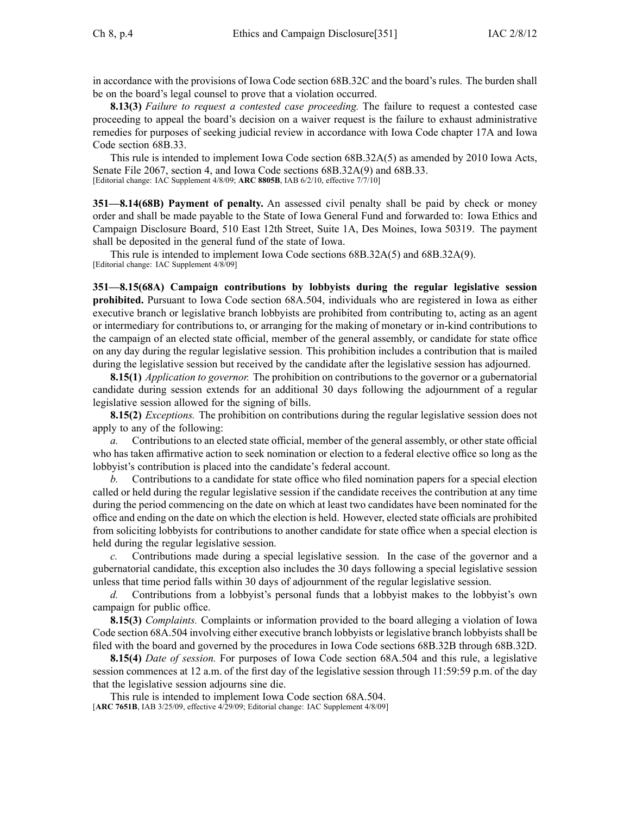in accordance with the provisions of Iowa Code section 68B.32C and the board's rules. The burden shall be on the board's legal counsel to prove that <sup>a</sup> violation occurred.

**8.13(3)** *Failure to reques<sup>t</sup> <sup>a</sup> contested case proceeding.* The failure to reques<sup>t</sup> <sup>a</sup> contested case proceeding to appeal the board's decision on <sup>a</sup> waiver reques<sup>t</sup> is the failure to exhaust administrative remedies for purposes of seeking judicial review in accordance with Iowa Code chapter 17A and Iowa Code section 68B.33.

This rule is intended to implement Iowa Code section 68B.32A(5) as amended by 2010 Iowa Acts, Senate File 2067, section 4, and Iowa Code sections 68B.32A(9) and 68B.33. [Editorial change: IAC Supplement 4/8/09; **ARC 8805B**, IAB 6/2/10, effective 7/7/10]

**351—8.14(68B) Payment of penalty.** An assessed civil penalty shall be paid by check or money order and shall be made payable to the State of Iowa General Fund and forwarded to: Iowa Ethics and Campaign Disclosure Board, 510 East 12th Street, Suite 1A, Des Moines, Iowa 50319. The paymen<sup>t</sup> shall be deposited in the general fund of the state of Iowa.

This rule is intended to implement Iowa Code sections 68B.32A(5) and 68B.32A(9). [Editorial change: IAC Supplement 4/8/09]

**351—8.15(68A) Campaign contributions by lobbyists during the regular legislative session prohibited.** Pursuant to Iowa Code section 68A.504, individuals who are registered in Iowa as either executive branch or legislative branch lobbyists are prohibited from contributing to, acting as an agen<sup>t</sup> or intermediary for contributions to, or arranging for the making of monetary or in-kind contributions to the campaign of an elected state official, member of the general assembly, or candidate for state office on any day during the regular legislative session. This prohibition includes <sup>a</sup> contribution that is mailed during the legislative session but received by the candidate after the legislative session has adjourned.

**8.15(1)** *Application to governor.* The prohibition on contributions to the governor or <sup>a</sup> gubernatorial candidate during session extends for an additional 30 days following the adjournment of <sup>a</sup> regular legislative session allowed for the signing of bills.

**8.15(2)** *Exceptions.* The prohibition on contributions during the regular legislative session does not apply to any of the following:

*a.* Contributions to an elected state official, member of the general assembly, or other state official who has taken affirmative action to seek nomination or election to <sup>a</sup> federal elective office so long as the lobbyist's contribution is placed into the candidate's federal account.

*b.* Contributions to <sup>a</sup> candidate for state office who filed nomination papers for <sup>a</sup> special election called or held during the regular legislative session if the candidate receives the contribution at any time during the period commencing on the date on which at least two candidates have been nominated for the office and ending on the date on which the election is held. However, elected state officials are prohibited from soliciting lobbyists for contributions to another candidate for state office when <sup>a</sup> special election is held during the regular legislative session.

*c.* Contributions made during <sup>a</sup> special legislative session. In the case of the governor and <sup>a</sup> gubernatorial candidate, this exception also includes the 30 days following <sup>a</sup> special legislative session unless that time period falls within 30 days of adjournment of the regular legislative session.

*d.* Contributions from <sup>a</sup> lobbyist's personal funds that <sup>a</sup> lobbyist makes to the lobbyist's own campaign for public office.

**8.15(3)** *Complaints.* Complaints or information provided to the board alleging <sup>a</sup> violation of Iowa Code section 68A.504 involving either executive branch lobbyists or legislative branch lobbyistsshall be filed with the board and governed by the procedures in Iowa Code sections 68B.32B through 68B.32D.

**8.15(4)** *Date of session.* For purposes of Iowa Code section 68A.504 and this rule, <sup>a</sup> legislative session commences at 12 a.m. of the first day of the legislative session through 11:59:59 p.m. of the day that the legislative session adjourns sine die.

This rule is intended to implement Iowa Code section 68A.504. [**ARC 7651B**, IAB 3/25/09, effective 4/29/09; Editorial change: IAC Supplement 4/8/09]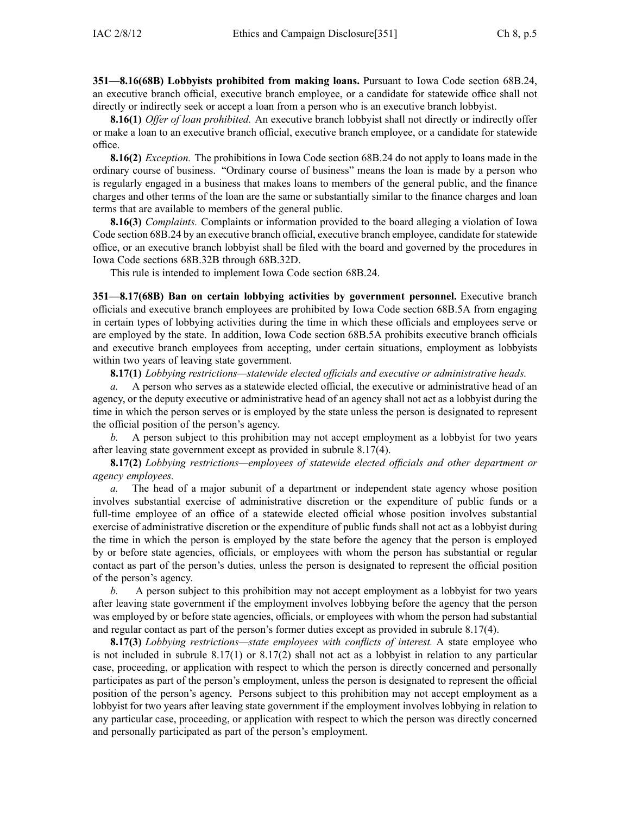**351—8.16(68B) Lobbyists prohibited from making loans.** Pursuant to Iowa Code section 68B.24, an executive branch official, executive branch employee, or <sup>a</sup> candidate for statewide office shall not directly or indirectly seek or accep<sup>t</sup> <sup>a</sup> loan from <sup>a</sup> person who is an executive branch lobbyist.

**8.16(1)** *Offer of loan prohibited.* An executive branch lobbyist shall not directly or indirectly offer or make <sup>a</sup> loan to an executive branch official, executive branch employee, or <sup>a</sup> candidate for statewide office.

**8.16(2)** *Exception.* The prohibitions in Iowa Code section 68B.24 do not apply to loans made in the ordinary course of business. "Ordinary course of business" means the loan is made by <sup>a</sup> person who is regularly engaged in <sup>a</sup> business that makes loans to members of the general public, and the finance charges and other terms of the loan are the same or substantially similar to the finance charges and loan terms that are available to members of the general public.

**8.16(3)** *Complaints.* Complaints or information provided to the board alleging <sup>a</sup> violation of Iowa Code section 68B.24 by an executive branch official, executive branch employee, candidate forstatewide office, or an executive branch lobbyist shall be filed with the board and governed by the procedures in Iowa Code sections 68B.32B through 68B.32D.

This rule is intended to implement Iowa Code section 68B.24.

**351—8.17(68B) Ban on certain lobbying activities by governmen<sup>t</sup> personnel.** Executive branch officials and executive branch employees are prohibited by Iowa Code section 68B.5A from engaging in certain types of lobbying activities during the time in which these officials and employees serve or are employed by the state. In addition, Iowa Code section 68B.5A prohibits executive branch officials and executive branch employees from accepting, under certain situations, employment as lobbyists within two years of leaving state government.

**8.17(1)** *Lobbying restrictions—statewide elected officials and executive or administrative heads.*

*a.* A person who serves as <sup>a</sup> statewide elected official, the executive or administrative head of an agency, or the deputy executive or administrative head of an agency shall not act as <sup>a</sup> lobbyist during the time in which the person serves or is employed by the state unless the person is designated to represen<sup>t</sup> the official position of the person's agency.

*b.* A person subject to this prohibition may not accep<sup>t</sup> employment as <sup>a</sup> lobbyist for two years after leaving state governmen<sup>t</sup> excep<sup>t</sup> as provided in subrule 8.17(4).

**8.17(2)** *Lobbying restrictions—employees of statewide elected officials and other department or agency employees.*

*a.* The head of <sup>a</sup> major subunit of <sup>a</sup> department or independent state agency whose position involves substantial exercise of administrative discretion or the expenditure of public funds or <sup>a</sup> full-time employee of an office of <sup>a</sup> statewide elected official whose position involves substantial exercise of administrative discretion or the expenditure of public funds shall not act as <sup>a</sup> lobbyist during the time in which the person is employed by the state before the agency that the person is employed by or before state agencies, officials, or employees with whom the person has substantial or regular contact as par<sup>t</sup> of the person's duties, unless the person is designated to represen<sup>t</sup> the official position of the person's agency.

*b.* A person subject to this prohibition may not accep<sup>t</sup> employment as <sup>a</sup> lobbyist for two years after leaving state governmen<sup>t</sup> if the employment involves lobbying before the agency that the person was employed by or before state agencies, officials, or employees with whom the person had substantial and regular contact as par<sup>t</sup> of the person's former duties excep<sup>t</sup> as provided in subrule 8.17(4).

**8.17(3)** *Lobbying restrictions—state employees with conflicts of interest.* A state employee who is not included in subrule 8.17(1) or 8.17(2) shall not act as <sup>a</sup> lobbyist in relation to any particular case, proceeding, or application with respec<sup>t</sup> to which the person is directly concerned and personally participates as par<sup>t</sup> of the person's employment, unless the person is designated to represen<sup>t</sup> the official position of the person's agency. Persons subject to this prohibition may not accep<sup>t</sup> employment as <sup>a</sup> lobbyist for two years after leaving state governmen<sup>t</sup> if the employment involves lobbying in relation to any particular case, proceeding, or application with respec<sup>t</sup> to which the person was directly concerned and personally participated as par<sup>t</sup> of the person's employment.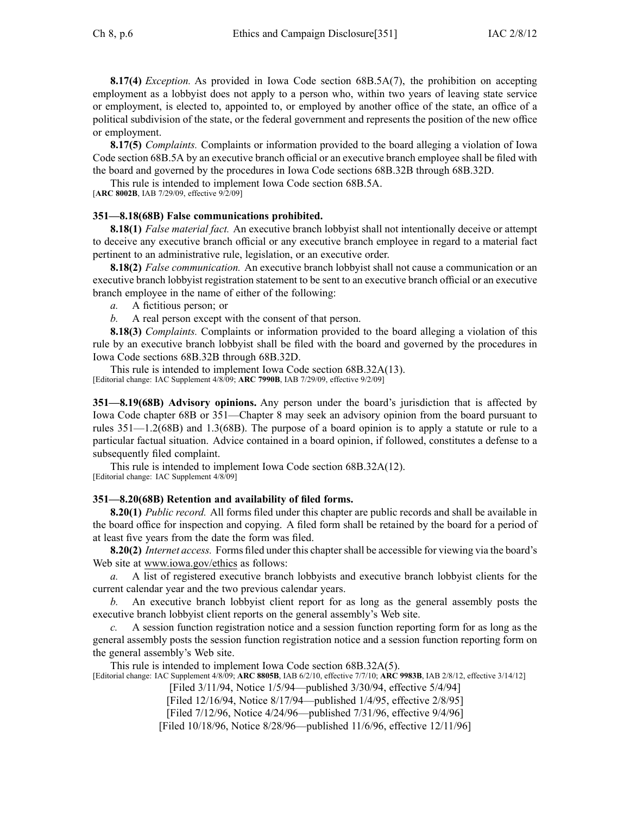**8.17(4)** *Exception.* As provided in Iowa Code section 68B.5A(7), the prohibition on accepting employment as <sup>a</sup> lobbyist does not apply to <sup>a</sup> person who, within two years of leaving state service or employment, is elected to, appointed to, or employed by another office of the state, an office of <sup>a</sup> political subdivision of the state, or the federal governmen<sup>t</sup> and represents the position of the new office or employment.

**8.17(5)** *Complaints.* Complaints or information provided to the board alleging <sup>a</sup> violation of Iowa Code section 68B.5A by an executive branch official or an executive branch employee shall be filed with the board and governed by the procedures in Iowa Code sections 68B.32B through 68B.32D.

This rule is intended to implement Iowa Code section 68B.5A.

[**ARC 8002B**, IAB 7/29/09, effective 9/2/09]

# **351—8.18(68B) False communications prohibited.**

**8.18(1)** *False material fact.* An executive branch lobbyist shall not intentionally deceive or attempt to deceive any executive branch official or any executive branch employee in regard to <sup>a</sup> material fact pertinent to an administrative rule, legislation, or an executive order.

**8.18(2)** *False communication.* An executive branch lobbyist shall not cause <sup>a</sup> communication or an executive branch lobbyist registration statement to be sent to an executive branch official or an executive branch employee in the name of either of the following:

*a.* A fictitious person; or

*b.* A real person excep<sup>t</sup> with the consent of that person.

**8.18(3)** *Complaints.* Complaints or information provided to the board alleging <sup>a</sup> violation of this rule by an executive branch lobbyist shall be filed with the board and governed by the procedures in Iowa Code sections 68B.32B through 68B.32D.

This rule is intended to implement Iowa Code section 68B.32A(13).

[Editorial change: IAC Supplement 4/8/09; **ARC 7990B**, IAB 7/29/09, effective 9/2/09]

**351—8.19(68B) Advisory opinions.** Any person under the board's jurisdiction that is affected by Iowa Code chapter 68B or 351—Chapter 8 may seek an advisory opinion from the board pursuan<sup>t</sup> to rules 351—1.2(68B) and 1.3(68B). The purpose of <sup>a</sup> board opinion is to apply <sup>a</sup> statute or rule to <sup>a</sup> particular factual situation. Advice contained in <sup>a</sup> board opinion, if followed, constitutes <sup>a</sup> defense to <sup>a</sup> subsequently filed complaint.

This rule is intended to implement Iowa Code section 68B.32A(12). [Editorial change: IAC Supplement 4/8/09]

# **351—8.20(68B) Retention and availability of filed forms.**

**8.20(1)** *Public record.* All forms filed under this chapter are public records and shall be available in the board office for inspection and copying. A filed form shall be retained by the board for <sup>a</sup> period of at least five years from the date the form was filed.

**8.20(2)** *Internet access.* Forms filed under this chaptershall be accessible for viewing via the board's Web site at www.iowa.gov/ethics as follows:

*a.* A list of registered executive branch lobbyists and executive branch lobbyist clients for the current calendar year and the two previous calendar years.

*b.* An executive branch lobbyist client repor<sup>t</sup> for as long as the general assembly posts the executive branch lobbyist client reports on the general assembly's Web site.

*c.* A session function registration notice and <sup>a</sup> session function reporting form for as long as the general assembly posts the session function registration notice and <sup>a</sup> session function reporting form on the general assembly's Web site.

This rule is intended to implement Iowa Code section 68B.32A(5).

[Editorial change: IAC Supplement 4/8/09; **ARC 8805B**, IAB 6/2/10, effective 7/7/10; **ARC 9983B**, IAB 2/8/12, effective 3/14/12]

[Filed 3/11/94, Notice 1/5/94—published 3/30/94, effective 5/4/94]

[Filed 12/16/94, Notice 8/17/94—published 1/4/95, effective 2/8/95]

[Filed 7/12/96, Notice 4/24/96—published 7/31/96, effective 9/4/96]

[Filed 10/18/96, Notice 8/28/96—published 11/6/96, effective 12/11/96]